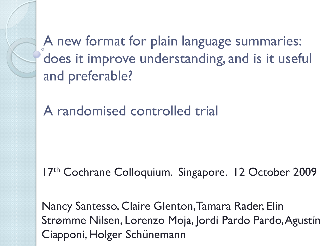A new format for plain language summaries: does it improve understanding, and is it useful and preferable?

A randomised controlled trial

17th Cochrane Colloquium. Singapore. 12 October 2009

Nancy Santesso, Claire Glenton, Tamara Rader, Elin Strømme Nilsen, Lorenzo Moja, Jordi Pardo Pardo, Agustín Ciapponi, Holger Schünemann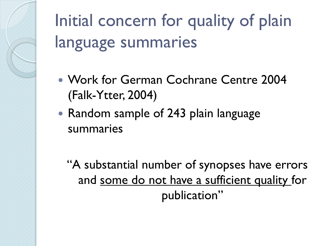Initial concern for quality of plain language summaries

- Work for German Cochrane Centre 2004 (Falk-Ytter, 2004)
- Random sample of 243 plain language summaries

"A substantial number of synopses have errors and some do not have a sufficient quality for publication"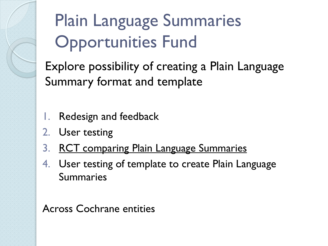# Plain Language Summaries Opportunities Fund

Explore possibility of creating a Plain Language Summary format and template

- 1. Redesign and feedback
- 2. User testing
- 3. RCT comparing Plain Language Summaries
- 4. User testing of template to create Plain Language Summaries

Across Cochrane entities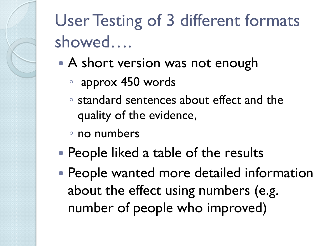# User Testing of 3 different formats showed….

- A short version was not enough
	- approx 450 words
	- standard sentences about effect and the quality of the evidence,
	- no numbers
- People liked a table of the results
- People wanted more detailed information about the effect using numbers (e.g. number of people who improved)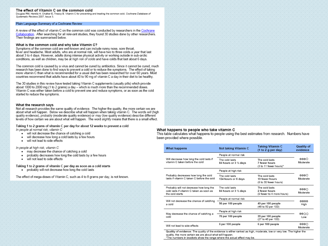### The effect of Vitamin C on the common cold

Douglas RM, Hemilä H. Chalker E. Treacy B. Vitamin C for preventing and treating the common cold. Cochrane Database of Systematic Reviews 2007 Issue 3

### Plain Language Summary of a Cochrane Review

A review of the effect of vitamin C on the common cold was conducted by researchers in the Cochrane Collaboration. After searching for all relevant studies, they found 30 studies done by other researchers. Their findings are summarised below.

### What is the common cold and why take Vitamin C?

Symptoms of the common cold are well-known and can include runny nose, sore throat. fever and headache. Most adults, who are at normal risk, will have two to three colds a year that last about 3 to 4 days. However, adults doing intense physical activity or working outside in sub-arctic conditions, as well as children, may be at high risk of colds and have colds that last about 6 days.

The common cold is caused by a virus and cannot be cured by antibiotics. Since it cannot be cured, much research has been done to find ways to prevent a cold or to reduce the symptoms. The effect of taking more vitamin C than what is recommended for a usual diet has been researched for over 60 years. Most countries recommend that adults have about 40 to 90 mg of vitamin C a day in their diet to be healthy.

The 30 studies in this review have tested taking Vitamin C supplements (usually pills) which provide about 1000 to 2000 mg (1 to 2 grams) a day - which is much more than the recommended doses. Vitamin C was either taken before a cold to prevent one and reduce symptoms, or as soon as the cold started to reduce the symptoms.

### What the research says

Not all research provides the same quality of evidence. The higher the quality, the more certain we are about what will happen. Below we describe what will happen when taking vitamin C. The words will (high quality evidence), probably (moderate quality evidence) or may (low quality evidence) describe different levels of how certain we are about what will happen. The word slightly means that there is a small effect.

### Taking 1 to 2 grams of vitamin C per day for about 12 weeks to prevent a cold

In people at normal risk, vitamin C

- . will not decrease the chance of catching a cold
- . will decrease how long a cold lasts by a few hours
- . will not lead to side effects

In people at high risk, vitamin C

- . may decrease the chance of catching a cold
- probably decreases how long the cold lasts by a few hours
- will not lead to side effects

Taking 1 to 2 grams of vitamin C per day as soon as a cold starts

• probably will not decrease how long the cold lasts

The effect of mega-doses of Vitamin C, such as 4 to 8 grams per day, is not known.

### What happens to people who take vitamin C

This table calculates what happens to people using the best estimates from research. Numbers have been provided where possible.

| What happens                                                                                           | Not taking Vitamin C                                                                                              | <b>Taking Vitamin C</b><br>(1 to 2 g per day)                | Quality of<br>evidence |  |
|--------------------------------------------------------------------------------------------------------|-------------------------------------------------------------------------------------------------------------------|--------------------------------------------------------------|------------------------|--|
|                                                                                                        | People at normal risk                                                                                             |                                                              |                        |  |
| Will decrease how long the cold lasts if<br>vitamin C taken before the cold                            | The cold lasts<br>The cold lasts<br>84 hours or 3 1/2 days<br>7 fewer hours<br>(3 to 11 fewer hours) <sup>x</sup> |                                                              | കുകല<br>Moderate       |  |
|                                                                                                        | People at high risk                                                                                               |                                                              |                        |  |
| Probably decreases how long the cold<br>lasts if vitamin C taken C before the cold.                    | The cold lasts<br>134 hours or 6 days                                                                             | The cold lasts<br>19 fewer hours<br>(8 to 30 fewer hours)    | കുകുക<br>Moderate      |  |
| Probably will not decrease how long the<br>cold lasts if vitamin C taken as soon as<br>the cold starts | The cold lasts.<br>84 hours or 3 1/2 days                                                                         | The cold lasts<br>2 fewer hours<br>(9 fewer to 4 more hours) | ⊕⊕⊕⊜<br>Moderate       |  |
| Will not decrease the chance of catching                                                               | People at normal risk                                                                                             | 0000                                                         |                        |  |
| a cold                                                                                                 | 50 per 100 people                                                                                                 | 49 per 100 people<br>(48 to 50 per 100)                      | High                   |  |
|                                                                                                        | People at high risk                                                                                               |                                                              | ⊕⊕○○                   |  |
| May decrease the chance of catching a<br>cold                                                          | 70 per 100 people                                                                                                 | 35 per 100 people<br>(27 to 46 per 100)                      | Low                    |  |
| Will not lead to side effects                                                                          | 6 per 100 people                                                                                                  | 6 per 100 people                                             | ⊕⊕⊕∩<br>Moderate       |  |

Quality of evidence: The quality of the evidence is either ranked as high, moderate, low or very low. The higher the quality, the more certain we are about what will happen.

\*The numbers in brackets show the range where the actual effect may be.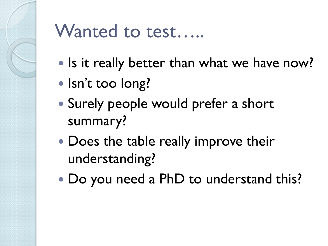

### Wanted to test…..

- Is it really better than what we have now?
- Isn't too long?
- Surely people would prefer a short summary?
- Does the table really improve their understanding?
- Do you need a PhD to understand this?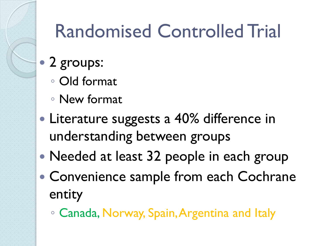# Randomised Controlled Trial

- 2 groups:
	- Old format
	- New format
- Literature suggests a 40% difference in understanding between groups
- Needed at least 32 people in each group
- Convenience sample from each Cochrane entity
	- Canada, Norway, Spain, Argentina and Italy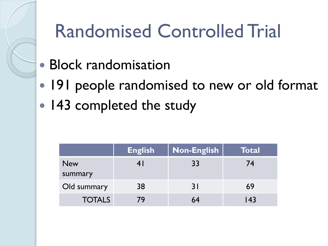# Randomised Controlled Trial

- Block randomisation
- 191 people randomised to new or old format
- 143 completed the study

|                       | <b>English</b> | <b>Non-English</b> | Total |
|-----------------------|----------------|--------------------|-------|
| <b>New</b><br>summary | 4 I            | 33                 | 74    |
| Old summary           | 38             | 31                 | 69    |
| <b>TOTALS</b>         | 79             | 64                 | 143   |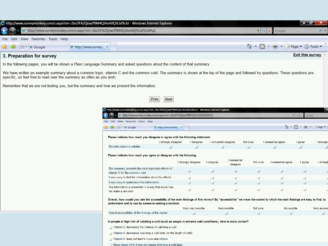| http://www.surveymonkey.com/s.aspx?sm=2bcDFA2QnacP9M4QJAnA0Q%3d%3d - Windows Internet Explorer                                                                                                                                                                                                                                                                                                              |                                     |                         |
|-------------------------------------------------------------------------------------------------------------------------------------------------------------------------------------------------------------------------------------------------------------------------------------------------------------------------------------------------------------------------------------------------------------|-------------------------------------|-------------------------|
| A http://www.surveymonkey.com/s.aspx?sm=2bcDFA2QnacP9M4QJAnA0Q%3d%3d#q2                                                                                                                                                                                                                                                                                                                                     |                                     | $\Omega$ $\rightarrow$  |
| File Edit View Favorites Tools Help                                                                                                                                                                                                                                                                                                                                                                         |                                     |                         |
| $\frac{1}{\sqrt{2}}$ $\frac{1}{\sqrt{2}}$ $\frac{1}{\sqrt{2}}$ $\frac{1}{\sqrt{2}}$ $\frac{1}{\sqrt{2}}$ $\frac{1}{\sqrt{2}}$ $\frac{1}{\sqrt{2}}$ $\frac{1}{\sqrt{2}}$ $\frac{1}{\sqrt{2}}$ $\frac{1}{\sqrt{2}}$ $\frac{1}{\sqrt{2}}$ $\frac{1}{\sqrt{2}}$ $\frac{1}{\sqrt{2}}$ $\frac{1}{\sqrt{2}}$ $\frac{1}{\sqrt{2}}$ $\frac{1}{\sqrt{2}}$ $\frac{1}{\sqrt{2}}$<br>$\Theta$ http://www.survey $\times$ | <b>A</b> ▼ A ▼ - → Page ▼ ② Tools ▼ |                         |
| 3. Preparation for survey                                                                                                                                                                                                                                                                                                                                                                                   |                                     | <b>Exit this survey</b> |

In the following pages, you will be shown a Plain Language Summary and asked questions about the content of that summary.

We have written an example summary about a common topic: vitamin C and the common cold. The summary is shown at the top of the page and followed by questions. These questions are specific, so feel free to read over the summary as often as you wish.

Remember that we are not testing you, but the summary and how we present the information.

|                                                                                                | Prev<br><b>Next</b>                                                                                                                                                                                                             |                     |            |                        |          |                  |         |                                          |
|------------------------------------------------------------------------------------------------|---------------------------------------------------------------------------------------------------------------------------------------------------------------------------------------------------------------------------------|---------------------|------------|------------------------|----------|------------------|---------|------------------------------------------|
| http://www.surveymonkey.com/s.aspx?sm=2bcDFA2QnacP9M4QJAnA0Q%3d%3d - Windows Internet Explorer |                                                                                                                                                                                                                                 |                     |            |                        |          |                  |         |                                          |
| http://www.surveymonkey.com/s.aspx?sm=2bcDFA2QnacP9M4QJAnA0Q%3d%3d<br>Google<br>$\times$       |                                                                                                                                                                                                                                 |                     |            |                        |          |                  |         |                                          |
| View Favorites Tools Help<br>Edit<br>File                                                      |                                                                                                                                                                                                                                 |                     |            |                        |          |                  |         |                                          |
| 53<br><b>BB</b> • <b>@</b> Google<br>5R                                                        | a http://www.survey ×                                                                                                                                                                                                           |                     |            |                        |          | $\rightarrow$    | M       | $\bullet$ : $\rightarrow$ Page $\bullet$ |
|                                                                                                | Please indicate how much you disagree or agree with the following statement.                                                                                                                                                    |                     |            |                        |          |                  |         |                                          |
|                                                                                                | I strongly disagree                                                                                                                                                                                                             | I disagree          |            | I somewhat disagree    | Not sure | I somewhat agree | I agree | I strongly                               |
| The information is reliable.                                                                   |                                                                                                                                                                                                                                 |                     |            |                        |          |                  |         |                                          |
|                                                                                                | Please indicate how much you agree or disagree with the following.                                                                                                                                                              |                     |            |                        |          |                  |         |                                          |
|                                                                                                |                                                                                                                                                                                                                                 | I strongly disagree | I disagree | I somewhat<br>disagree | Not sure | I somewhat agree | I agree | I strongh                                |
| vitamin C for the common cold.                                                                 | The summary presents the most important effects of                                                                                                                                                                              |                     |            |                        |          |                  |         |                                          |
|                                                                                                | It was easy to find the information about the effects.                                                                                                                                                                          |                     |            |                        |          |                  |         |                                          |
| It was easy to understand the information.                                                     |                                                                                                                                                                                                                                 |                     |            |                        |          |                  |         |                                          |
| me make a decision.                                                                            | The information is presented in a way that would help                                                                                                                                                                           |                     |            |                        |          |                  |         |                                          |
|                                                                                                | Overall, how would you rate the accessibility of the main findings of this review? By "accessibility" we mean the extent to which the main findings are easy to find, to<br>understand and to use by someone making a decision. |                     |            |                        |          |                  |         |                                          |

|                                                      | Verv inaccessible | Inaccessible | Not sure | Accessible | Very acces |
|------------------------------------------------------|-------------------|--------------|----------|------------|------------|
| Overall accessibility of the findings of the review. |                   |              |          |            |            |

In people at high risk of catching a cold (such as people in extreme cold conditions), what is more certain?

Vitamin C decreases the chance of catching a cold

Vitamin C decreases how long a cold lasts (or the length of cold)

Vitamin C does not lead to more side effects

Mega doses (4 to 8 mg) decreases how long a cold lasts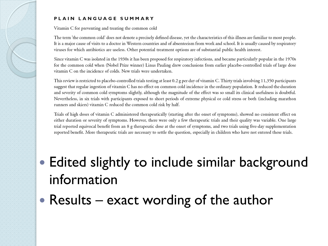### PLAIN LANGUAGE SUMMARY

Vitamin C for preventing and treating the common cold

The term 'the common cold' does not denote a precisely defined disease, yet the characteristics of this illness are familiar to most people. It is a major cause of visits to a doctor in Western countries and of absenteeism from work and school. It is usually caused by respiratory viruses for which antibiotics are useless. Other potential treatment options are of substantial public health interest.

Since vitamin C was isolated in the 1930s it has been proposed for respiratory infections, and became particularly popular in the 1970s for the common cold when (Nobel Prize winner) Linus Pauling drew conclusions from earlier placebo-controlled trials of large dose vitamin C on the incidence of colds. New trials were undertaken.

This review is restricted to placebo-controlled trials testing at least 0.2 g per day of vitamin C. Thirty trials involving 11,350 participants suggest that regular ingestion of vitamin C has no effect on common cold incidence in the ordinary population. It reduced the duration and severity of common cold symptoms slightly, although the magnitude of the effect was so small its clinical usefulness is doubtful. Nevertheless, in six trials with participants exposed to short periods of extreme physical or cold stress or both (including marathon runners and skiers) vitamin C reduced the common cold risk by half.

Trials of high doses of vitamin C administered therapeutically (starting after the onset of symptoms), showed no consistent effect on either duration or severity of symptoms. However, there were only a few therapeutic trials and their quality was variable. One large trial reported equivocal benefit from an 8 g therapeutic dose at the onset of symptoms, and two trials using five-day supplementation reported benefit. More therapeutic trials are necessary to settle the question, especially in children who have not entered these trials.

- Edited slightly to include similar background information
- Results  $-$  exact wording of the author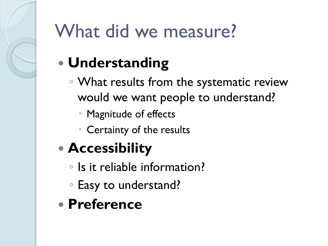# What did we measure?

### **Understanding**

- What results from the systematic review would we want people to understand?
	- Magnitude of effects
	- Certainty of the results
- **Accessibility**
	- Is it reliable information?
	- Easy to understand?
- **Preference**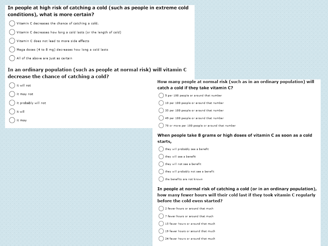### In people at high risk of catching a cold (such as people in extreme cold conditions), what is more certain?

- Vitamin C decreases the chance of catching a cold.
- Vitamin C decreases how long a cold lasts (or the length of cold)
- Vitamin C does not lead to more side effects
- Mega doses (4 to 8 mg) decreases how long a cold lasts
- All of the above are just as certain

### In an ordinary population (such as people at normal risk) will vitamin C decrease the chance of catching a cold?



it may not

```
it probably will not
```
- it will
- it may

### How many people at normal risk (such as in an ordinary population) will catch a cold if they take vitamin C?

 $\bigcap$  5 per 100 people or around that number

10 per 100 people or around that number

35 per 100 people or around that number

49 per 100 people or around that number

70 or more per 100 people or around that number

### When people take 8 grams or high doses of vitamin C as soon as a cold starts,

they will probably see a benefit

 $\bigcap$  they will see a benefit

 $\bigcap$  they will not see a benefit

they will probably not see a benefit

 $($   $)$  the benefits are not known

In people at normal risk of catching a cold (or in an ordinary population), how many fewer hours will their cold last if they took vitamin C regularly before the cold even started?

 $\bigcap$  2 fewer hours or around that much

 $\bigcap$  7 fewer hours or around that much

- 15 fewer hours or around that much
- 19 fewer hours or around that much
- 24 fewer hours or around that much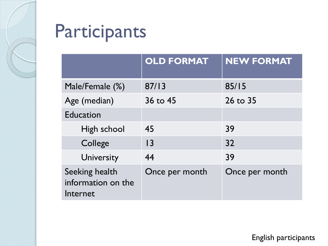

# Participants

|                                                  | <b>OLD FORMAT</b> | <b>NEW FORMAT</b> |
|--------------------------------------------------|-------------------|-------------------|
| Male/Female (%)                                  | 87/13             | 85/15             |
| Age (median)                                     | 36 to 45          | 26 to 35          |
| <b>Education</b>                                 |                   |                   |
| High school                                      | 45                | 39                |
| College                                          | $\overline{13}$   | 32                |
| University                                       | 44                | 39                |
| Seeking health<br>information on the<br>Internet | Once per month    | Once per month    |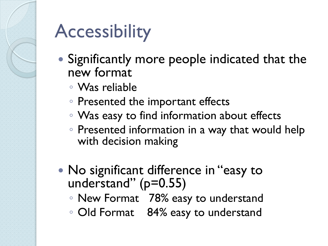

# **Accessibility**

- Significantly more people indicated that the new format
	- Was reliable
	- Presented the important effects
	- Was easy to find information about effects
	- Presented information in a way that would help with decision making
- No significant difference in "easy to understand" (p=0.55)
	- New Format 78% easy to understand
	- Old Format 84% easy to understand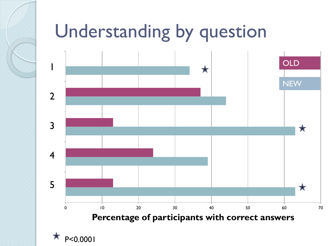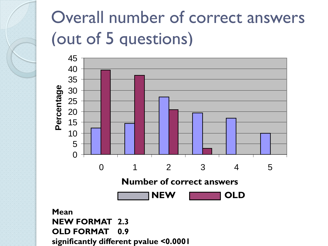### Overall number of correct answers (out of 5 questions)



**significantly different pvalue <0.0001**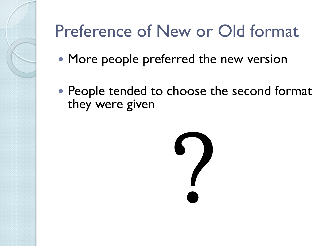# Preference of New or Old format

- More people preferred the new version
- People tended to choose the second format they were given

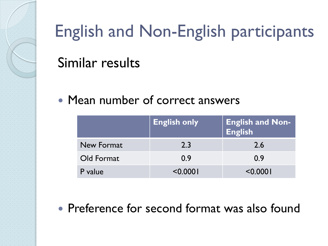

### English and Non-English participants

### Similar results

### • Mean number of correct answers

|            | <b>English only</b> | <b>English and Non-</b><br>English |
|------------|---------------------|------------------------------------|
| New Format | 2.3                 | 2.6                                |
| Old Format | 0.9                 | 0.9                                |
| P value    | 0.000               | < 0.0001                           |

• Preference for second format was also found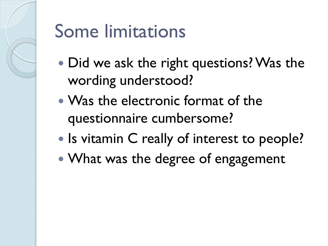# Some limitations

- Did we ask the right questions? Was the wording understood?
- Was the electronic format of the questionnaire cumbersome?
- Is vitamin C really of interest to people?
- What was the degree of engagement